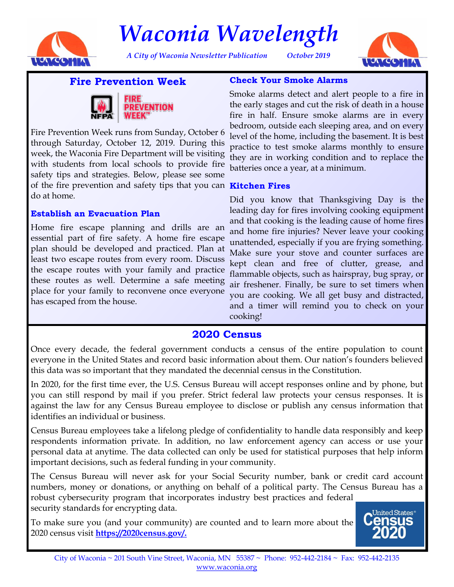

# *Waconia Wavelength*

*A City of Waconia Newsletter Publication October 2019*



# **Fire Prevention Week**



# FIRE **PREVENTION**

Fire Prevention Week runs from Sunday, October 6 through Saturday, October 12, 2019. During this week, the Waconia Fire Department will be visiting with students from local schools to provide fire safety tips and strategies. Below, please see some of the fire prevention and safety tips that you can **Kitchen Fires** do at home.

### **Establish an Evacuation Plan**

Home fire escape planning and drills are an essential part of fire safety. A home fire escape plan should be developed and practiced. Plan at least two escape routes from every room. Discuss the escape routes with your family and practice these routes as well. Determine a safe meeting place for your family to reconvene once everyone has escaped from the house.

#### **Check Your Smoke Alarms**

Smoke alarms detect and alert people to a fire in the early stages and cut the risk of death in a house fire in half. Ensure smoke alarms are in every bedroom, outside each sleeping area, and on every level of the home, including the basement. It is best practice to test smoke alarms monthly to ensure they are in working condition and to replace the batteries once a year, at a minimum.

Did you know that Thanksgiving Day is the leading day for fires involving cooking equipment and that cooking is the leading cause of home fires and home fire injuries? Never leave your cooking unattended, especially if you are frying something. Make sure your stove and counter surfaces are kept clean and free of clutter, grease, and flammable objects, such as hairspray, bug spray, or air freshener. Finally, be sure to set timers when you are cooking. We all get busy and distracted, and a timer will remind you to check on your cooking!

## **2020 Census**

Once every decade, the federal government conducts a census of the entire population to count everyone in the United States and record basic information about them. Our nation's founders believed this data was so important that they mandated the decennial census in the Constitution.

In 2020, for the first time ever, the U.S. Census Bureau will accept responses online and by phone, but you can still respond by mail if you prefer. Strict federal law protects your census responses. It is against the law for any Census Bureau employee to disclose or publish any census information that identifies an individual or business.

Census Bureau employees take a lifelong pledge of confidentiality to handle data responsibly and keep respondents information private. In addition, no law enforcement agency can access or use your personal data at anytime. The data collected can only be used for statistical purposes that help inform important decisions, such as federal funding in your community.

The Census Bureau will never ask for your Social Security number, bank or credit card account numbers, money or donations, or anything on behalf of a political party. The Census Bureau has a robust cybersecurity program that incorporates industry best practices and federal security standards for encrypting data.

To make sure you (and your community) are counted and to learn more about the 2020 census visit **https://2020census.gov/.**